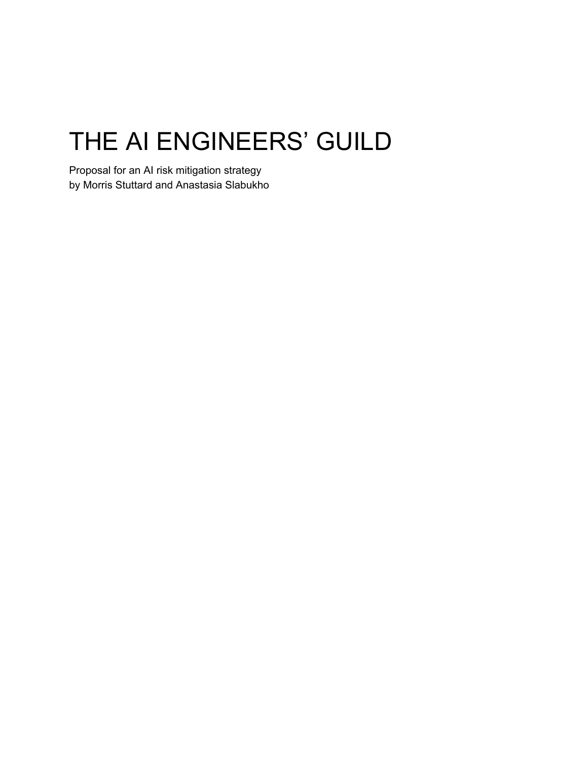# THE AI ENGINEERS' GUILD

Proposal for an AI risk mitigation strategy by Morris Stuttard and Anastasia Slabukho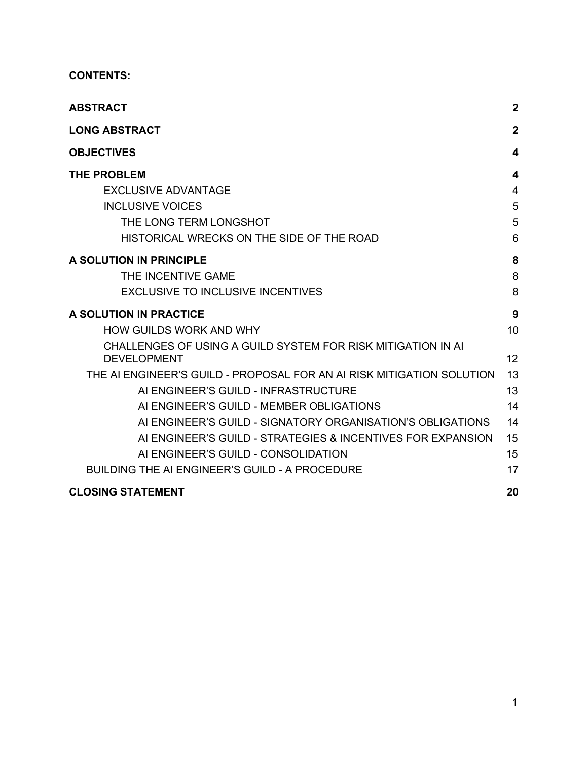#### **CONTENTS:**

| <b>ABSTRACT</b>                                                                    | $\boldsymbol{2}$ |
|------------------------------------------------------------------------------------|------------------|
| <b>LONG ABSTRACT</b>                                                               | $\boldsymbol{2}$ |
| <b>OBJECTIVES</b>                                                                  | 4                |
| <b>THE PROBLEM</b>                                                                 | 4                |
| <b>EXCLUSIVE ADVANTAGE</b>                                                         | $\overline{4}$   |
| <b>INCLUSIVE VOICES</b>                                                            | 5                |
| THE LONG TERM LONGSHOT                                                             | 5                |
| HISTORICAL WRECKS ON THE SIDE OF THE ROAD                                          | 6                |
| A SOLUTION IN PRINCIPLE                                                            | 8                |
| THE INCENTIVE GAME                                                                 | 8                |
| <b>EXCLUSIVE TO INCLUSIVE INCENTIVES</b>                                           | 8                |
| A SOLUTION IN PRACTICE                                                             | 9                |
| <b>HOW GUILDS WORK AND WHY</b>                                                     | 10               |
| CHALLENGES OF USING A GUILD SYSTEM FOR RISK MITIGATION IN AI<br><b>DEVELOPMENT</b> | 12               |
| THE AI ENGINEER'S GUILD - PROPOSAL FOR AN AI RISK MITIGATION SOLUTION              | 13               |
| AI ENGINEER'S GUILD - INFRASTRUCTURE                                               | 13               |
| AI ENGINEER'S GUILD - MEMBER OBLIGATIONS                                           | 14               |
| AI ENGINEER'S GUILD - SIGNATORY ORGANISATION'S OBLIGATIONS                         | 14               |
| AI ENGINEER'S GUILD - STRATEGIES & INCENTIVES FOR EXPANSION                        | 15               |
| AI ENGINEER'S GUILD - CONSOLIDATION                                                | 15               |
| BUILDING THE AI ENGINEER'S GUILD - A PROCEDURE                                     | 17               |
| <b>CLOSING STATEMENT</b>                                                           | 20               |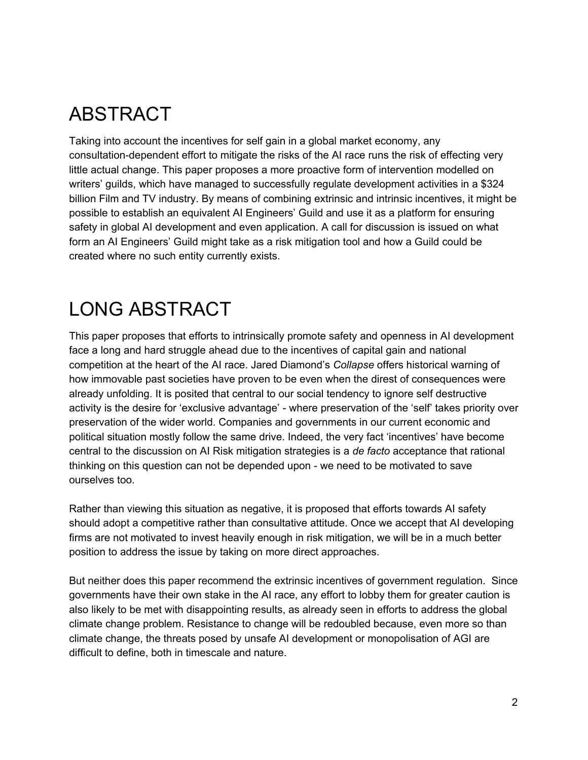### <span id="page-2-0"></span>ABSTRACT

Taking into account the incentives for self gain in a global market economy, any consultation-dependent effort to mitigate the risks of the AI race runs the risk of effecting very little actual change. This paper proposes a more proactive form of intervention modelled on writers' guilds, which have managed to successfully regulate development activities in a \$324 billion Film and TV industry. By means of combining extrinsic and intrinsic incentives, it might be possible to establish an equivalent AI Engineers' Guild and use it as a platform for ensuring safety in global AI development and even application. A call for discussion is issued on what form an AI Engineers' Guild might take as a risk mitigation tool and how a Guild could be created where no such entity currently exists.

### <span id="page-2-1"></span>LONG ABSTRACT

This paper proposes that efforts to intrinsically promote safety and openness in AI development face a long and hard struggle ahead due to the incentives of capital gain and national competition at the heart of the AI race. Jared Diamond's *Collapse* offers historical warning of how immovable past societies have proven to be even when the direst of consequences were already unfolding. It is posited that central to our social tendency to ignore self destructive activity is the desire for 'exclusive advantage' - where preservation of the 'self' takes priority over preservation of the wider world. Companies and governments in our current economic and political situation mostly follow the same drive. Indeed, the very fact 'incentives' have become central to the discussion on AI Risk mitigation strategies is a *de facto* acceptance that rational thinking on this question can not be depended upon - we need to be motivated to save ourselves too.

Rather than viewing this situation as negative, it is proposed that efforts towards AI safety should adopt a competitive rather than consultative attitude. Once we accept that AI developing firms are not motivated to invest heavily enough in risk mitigation, we will be in a much better position to address the issue by taking on more direct approaches.

But neither does this paper recommend the extrinsic incentives of government regulation. Since governments have their own stake in the AI race, any effort to lobby them for greater caution is also likely to be met with disappointing results, as already seen in efforts to address the global climate change problem. Resistance to change will be redoubled because, even more so than climate change, the threats posed by unsafe AI development or monopolisation of AGI are difficult to define, both in timescale and nature.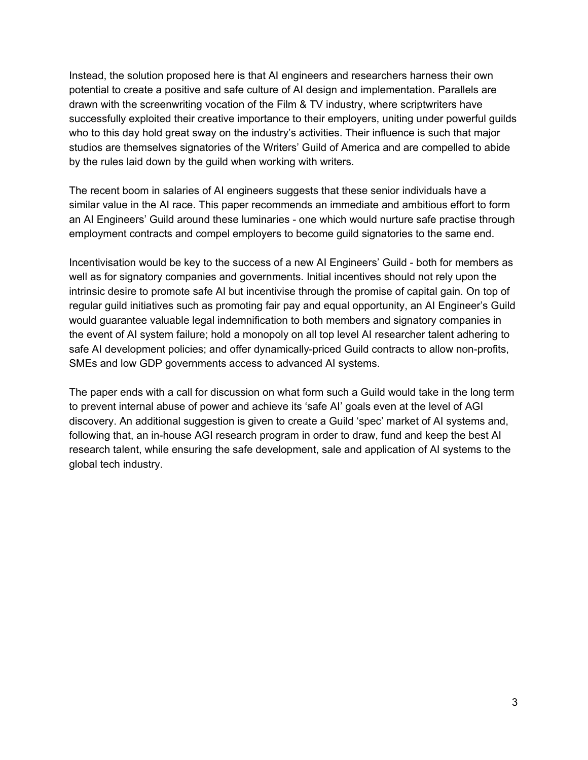Instead, the solution proposed here is that AI engineers and researchers harness their own potential to create a positive and safe culture of AI design and implementation. Parallels are drawn with the screenwriting vocation of the Film & TV industry, where scriptwriters have successfully exploited their creative importance to their employers, uniting under powerful guilds who to this day hold great sway on the industry's activities. Their influence is such that major studios are themselves signatories of the Writers' Guild of America and are compelled to abide by the rules laid down by the guild when working with writers.

The recent boom in salaries of AI engineers suggests that these senior individuals have a similar value in the AI race. This paper recommends an immediate and ambitious effort to form an AI Engineers' Guild around these luminaries - one which would nurture safe practise through employment contracts and compel employers to become guild signatories to the same end.

Incentivisation would be key to the success of a new AI Engineers' Guild - both for members as well as for signatory companies and governments. Initial incentives should not rely upon the intrinsic desire to promote safe AI but incentivise through the promise of capital gain. On top of regular guild initiatives such as promoting fair pay and equal opportunity, an AI Engineer's Guild would guarantee valuable legal indemnification to both members and signatory companies in the event of AI system failure; hold a monopoly on all top level AI researcher talent adhering to safe AI development policies; and offer dynamically-priced Guild contracts to allow non-profits, SMEs and low GDP governments access to advanced AI systems.

The paper ends with a call for discussion on what form such a Guild would take in the long term to prevent internal abuse of power and achieve its 'safe AI' goals even at the level of AGI discovery. An additional suggestion is given to create a Guild 'spec' market of AI systems and, following that, an in-house AGI research program in order to draw, fund and keep the best AI research talent, while ensuring the safe development, sale and application of AI systems to the global tech industry.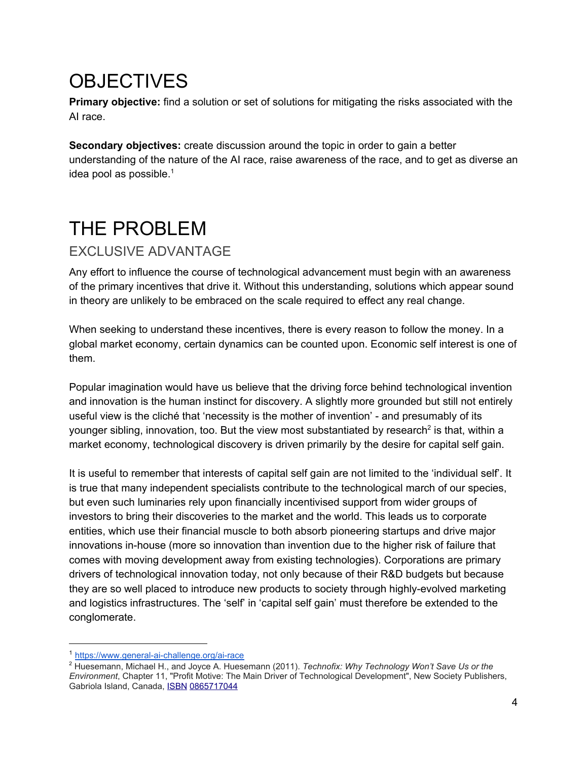## <span id="page-4-0"></span>**OBJECTIVES**

**Primary objective:** find a solution or set of solutions for mitigating the risks associated with the AI race.

**Secondary objectives:** create discussion around the topic in order to gain a better understanding of the nature of the AI race, raise awareness of the race, and to get as diverse an idea pool as possible. $1$ 

## <span id="page-4-1"></span>THE PROBLEM

### <span id="page-4-2"></span>EXCLUSIVE ADVANTAGE

Any effort to influence the course of technological advancement must begin with an awareness of the primary incentives that drive it. Without this understanding, solutions which appear sound in theory are unlikely to be embraced on the scale required to effect any real change.

When seeking to understand these incentives, there is every reason to follow the money. In a global market economy, certain dynamics can be counted upon. Economic self interest is one of them.

Popular imagination would have us believe that the driving force behind technological invention and innovation is the human instinct for discovery. A slightly more grounded but still not entirely useful view is the cliché that 'necessity is the mother of invention' - and presumably of its younger sibling, innovation, too. But the view most substantiated by research<sup>2</sup> is that, within a market economy, technological discovery is driven primarily by the desire for capital self gain.

It is useful to remember that interests of capital self gain are not limited to the 'individual self'. It is true that many independent specialists contribute to the technological march of our species, but even such luminaries rely upon financially incentivised support from wider groups of investors to bring their discoveries to the market and the world. This leads us to corporate entities, which use their financial muscle to both absorb pioneering startups and drive major innovations in-house (more so innovation than invention due to the higher risk of failure that comes with moving development away from existing technologies). Corporations are primary drivers of technological innovation today, not only because of their R&D budgets but because they are so well placed to introduce new products to society through highly-evolved marketing and logistics infrastructures. The 'self' in 'capital self gain' must therefore be extended to the conglomerate.

<sup>1</sup> <https://www.general-ai-challenge.org/ai-race>

<sup>2</sup> Huesemann, Michael H., and Joyce A. Huesemann (2011). *Technofix: Why Technology Won't Save Us or the Environment*, Chapter 11, "Profit Motive: The Main Driver of Technological Development", New Society Publishers, Gabriola Island, Canada, [ISBN](https://en.wikipedia.org/wiki/International_Standard_Book_Number) [0865717044](https://en.wikipedia.org/wiki/Special:BookSources/0865717044)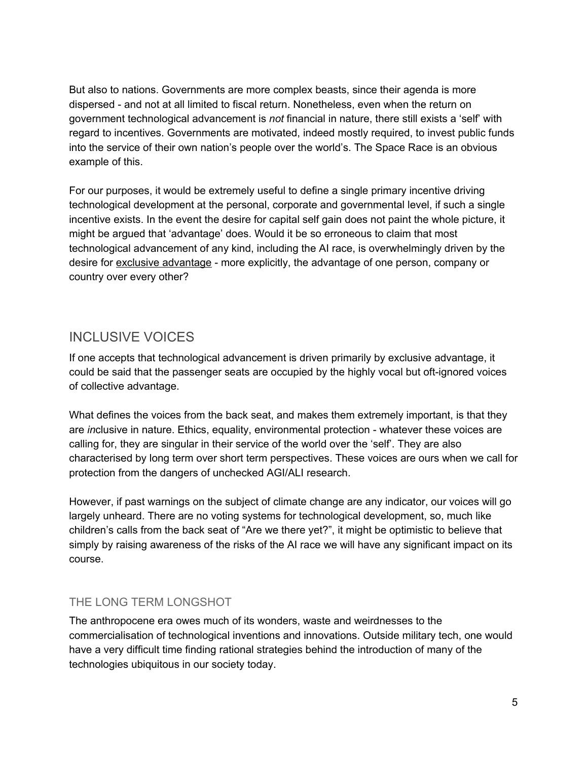But also to nations. Governments are more complex beasts, since their agenda is more dispersed - and not at all limited to fiscal return. Nonetheless, even when the return on government technological advancement is *not* financial in nature, there still exists a 'self' with regard to incentives. Governments are motivated, indeed mostly required, to invest public funds into the service of their own nation's people over the world's. The Space Race is an obvious example of this.

For our purposes, it would be extremely useful to define a single primary incentive driving technological development at the personal, corporate and governmental level, if such a single incentive exists. In the event the desire for capital self gain does not paint the whole picture, it might be argued that 'advantage' does. Would it be so erroneous to claim that most technological advancement of any kind, including the AI race, is overwhelmingly driven by the desire for exclusive advantage - more explicitly, the advantage of one person, company or country over every other?

### <span id="page-5-0"></span>INCLUSIVE VOICES

If one accepts that technological advancement is driven primarily by exclusive advantage, it could be said that the passenger seats are occupied by the highly vocal but oft-ignored voices of collective advantage.

What defines the voices from the back seat, and makes them extremely important, is that they are *in*clusive in nature. Ethics, equality, environmental protection - whatever these voices are calling for, they are singular in their service of the world over the 'self'. They are also characterised by long term over short term perspectives. These voices are ours when we call for protection from the dangers of unchecked AGI/ALI research.

However, if past warnings on the subject of climate change are any indicator, our voices will go largely unheard. There are no voting systems for technological development, so, much like children's calls from the back seat of "Are we there yet?", it might be optimistic to believe that simply by raising awareness of the risks of the AI race we will have any significant impact on its course.

#### <span id="page-5-1"></span>THE LONG TERM LONGSHOT

The anthropocene era owes much of its wonders, waste and weirdnesses to the commercialisation of technological inventions and innovations. Outside military tech, one would have a very difficult time finding rational strategies behind the introduction of many of the technologies ubiquitous in our society today.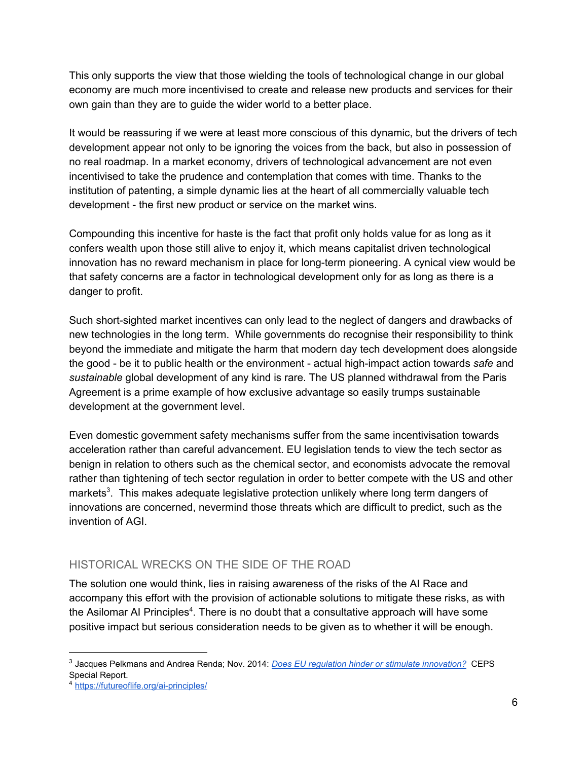This only supports the view that those wielding the tools of technological change in our global economy are much more incentivised to create and release new products and services for their own gain than they are to guide the wider world to a better place.

It would be reassuring if we were at least more conscious of this dynamic, but the drivers of tech development appear not only to be ignoring the voices from the back, but also in possession of no real roadmap. In a market economy, drivers of technological advancement are not even incentivised to take the prudence and contemplation that comes with time. Thanks to the institution of patenting, a simple dynamic lies at the heart of all commercially valuable tech development - the first new product or service on the market wins.

Compounding this incentive for haste is the fact that profit only holds value for as long as it confers wealth upon those still alive to enjoy it, which means capitalist driven technological innovation has no reward mechanism in place for long-term pioneering. A cynical view would be that safety concerns are a factor in technological development only for as long as there is a danger to profit.

Such short-sighted market incentives can only lead to the neglect of dangers and drawbacks of new technologies in the long term. While governments do recognise their responsibility to think beyond the immediate and mitigate the harm that modern day tech development does alongside the good - be it to public health or the environment - actual high-impact action towards *safe* and *sustainable* global development of any kind is rare. The US planned withdrawal from the Paris Agreement is a prime example of how exclusive advantage so easily trumps sustainable development at the government level.

Even domestic government safety mechanisms suffer from the same incentivisation towards acceleration rather than careful advancement. EU legislation tends to view the tech sector as benign in relation to others such as the chemical sector, and economists advocate the removal rather than tightening of tech sector regulation in order to better compete with the US and other markets<sup>3</sup>. This makes adequate legislative protection unlikely where long term dangers of innovations are concerned, nevermind those threats which are difficult to predict, such as the invention of AGI.

#### <span id="page-6-0"></span>HISTORICAL WRECKS ON THE SIDE OF THE ROAD

The solution one would think, lies in raising awareness of the risks of the AI Race and accompany this effort with the provision of actionable solutions to mitigate these risks, as with the Asilomar AI Principles<sup>4</sup>. There is no doubt that a consultative approach will have some positive impact but serious consideration needs to be given as to whether it will be enough.

<sup>3</sup> Jacques Pelkmans and Andrea Renda; Nov. 2014: *[Does EU regulation hinder or stimulate innovation?](https://www.ceps.eu/system/files/No%2096%20EU%20Legislation%20and%20Innovation.pdf)* CEPS Special Report.

<sup>4</sup> <https://futureoflife.org/ai-principles/>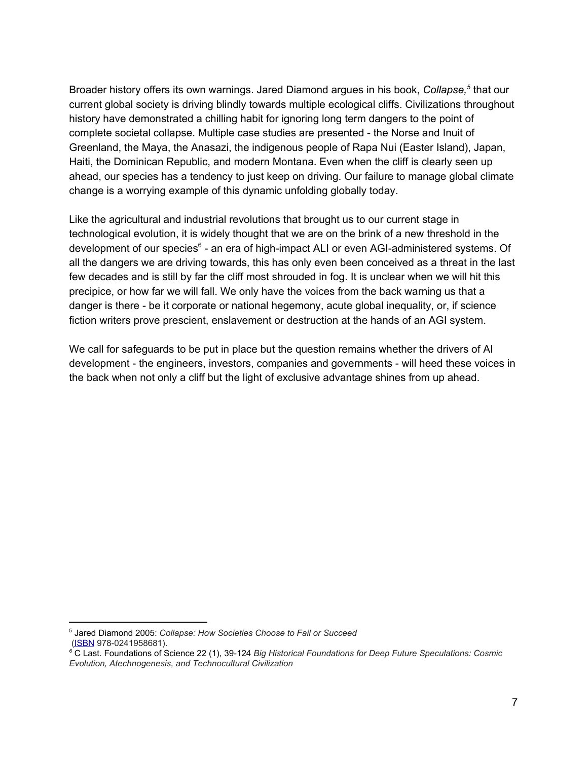Broader history offers its own warnings. Jared Diamond argues in his book, Collapse,<sup>5</sup> that our current global society is driving blindly towards multiple ecological cliffs. Civilizations throughout history have demonstrated a chilling habit for ignoring long term dangers to the point of complete societal collapse. Multiple case studies are presented - the Norse and Inuit of Greenland, the Maya, the Anasazi, the indigenous people of Rapa Nui (Easter Island), Japan, Haiti, the Dominican Republic, and modern Montana. Even when the cliff is clearly seen up ahead, our species has a tendency to just keep on driving. Our failure to manage global climate change is a worrying example of this dynamic unfolding globally today.

Like the agricultural and industrial revolutions that brought us to our current stage in technological evolution, it is widely thought that we are on the brink of a new threshold in the development of our species<sup>6</sup> - an era of high-impact ALI or even AGI-administered systems. Of all the dangers we are driving towards, this has only even been conceived as a threat in the last few decades and is still by far the cliff most shrouded in fog. It is unclear when we will hit this precipice, or how far we will fall. We only have the voices from the back warning us that a danger is there - be it corporate or national hegemony, acute global inequality, or, if science fiction writers prove prescient, enslavement or destruction at the hands of an AGI system.

We call for safeguards to be put in place but the question remains whether the drivers of AI development - the engineers, investors, companies and governments - will heed these voices in the back when not only a cliff but the light of exclusive advantage shines from up ahead.

<sup>5</sup> Jared Diamond 2005: *Collapse: How Societies Choose to Fail or Succeed* [\(ISBN](https://en.wikipedia.org/wiki/International_Standard_Book_Number) 978-0241958681).

*<sup>6</sup>* C Last. Foundations of Science 22 (1), 39-124 *Big Historical Foundations for Deep Future Speculations: Cosmic Evolution, Atechnogenesis, and Technocultural Civilization*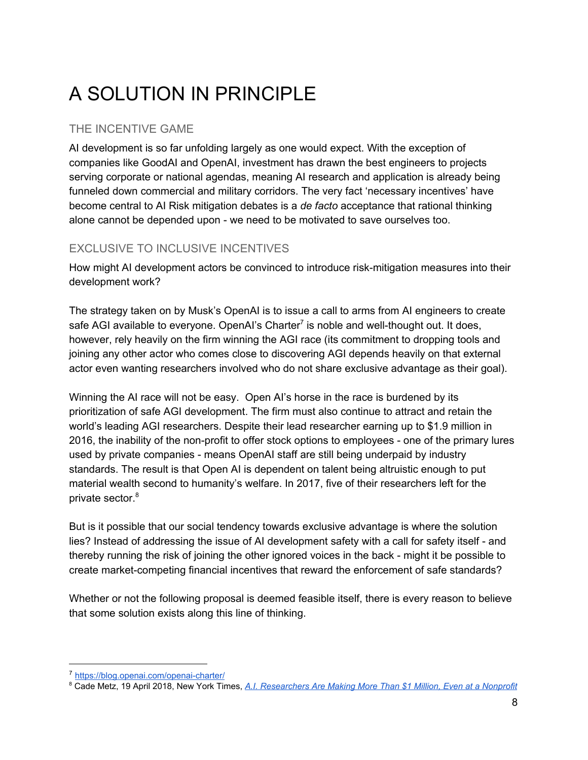# <span id="page-8-0"></span>A SOLUTION IN PRINCIPLE

#### <span id="page-8-1"></span>THE INCENTIVE GAME

AI development is so far unfolding largely as one would expect. With the exception of companies like GoodAI and OpenAI, investment has drawn the best engineers to projects serving corporate or national agendas, meaning AI research and application is already being funneled down commercial and military corridors. The very fact 'necessary incentives' have become central to AI Risk mitigation debates is a *de facto* acceptance that rational thinking alone cannot be depended upon - we need to be motivated to save ourselves too.

#### <span id="page-8-2"></span>EXCLUSIVE TO INCLUSIVE INCENTIVES

How might AI development actors be convinced to introduce risk-mitigation measures into their development work?

The strategy taken on by Musk's OpenAI is to issue a call to arms from AI engineers to create safe AGI available to everyone. OpenAI's Charter<sup>7</sup> is noble and well-thought out. It does, however, rely heavily on the firm winning the AGI race (its commitment to dropping tools and joining any other actor who comes close to discovering AGI depends heavily on that external actor even wanting researchers involved who do not share exclusive advantage as their goal).

Winning the AI race will not be easy. Open AI's horse in the race is burdened by its prioritization of safe AGI development. The firm must also continue to attract and retain the world's leading AGI researchers. Despite their lead researcher earning up to \$1.9 million in 2016, the inability of the non-profit to offer stock options to employees - one of the primary lures used by private companies - means OpenAI staff are still being underpaid by industry standards. The result is that Open AI is dependent on talent being altruistic enough to put material wealth second to humanity's welfare. In 2017, five of their researchers left for the private sector. 8

But is it possible that our social tendency towards exclusive advantage is where the solution lies? Instead of addressing the issue of AI development safety with a call for safety itself - and thereby running the risk of joining the other ignored voices in the back - might it be possible to create market-competing financial incentives that reward the enforcement of safe standards?

Whether or not the following proposal is deemed feasible itself, there is every reason to believe that some solution exists along this line of thinking.

<sup>7</sup> <https://blog.openai.com/openai-charter/>

<sup>8</sup> Cade Metz, 19 April 2018, New York Times, *[A.I. Researchers Are Making More Than \\$1 Million, Even at a Nonprofit](https://www.nytimes.com/2018/04/19/technology/artificial-intelligence-salaries-openai.html)*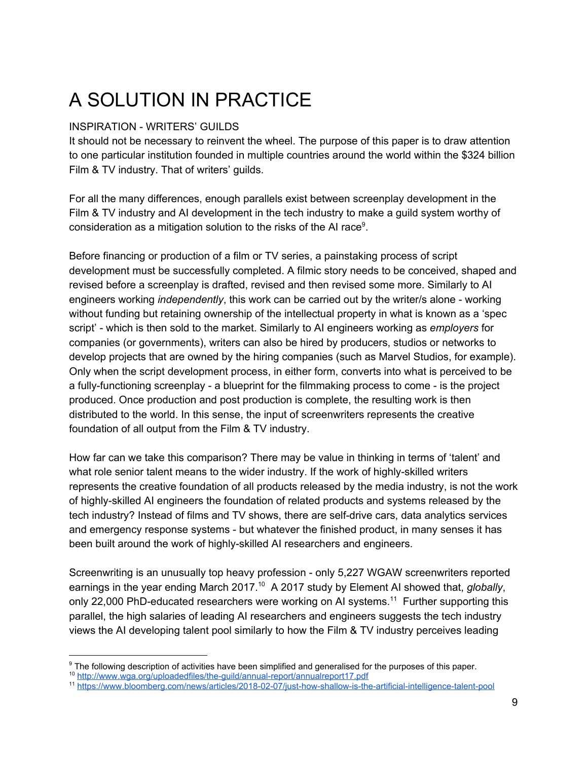## <span id="page-9-0"></span>A SOLUTION IN PRACTICE

#### INSPIRATION - WRITERS' GUILDS

It should not be necessary to reinvent the wheel. The purpose of this paper is to draw attention to one particular institution founded in multiple countries around the world within the \$324 billion Film & TV industry. That of writers' guilds.

For all the many differences, enough parallels exist between screenplay development in the Film & TV industry and AI development in the tech industry to make a guild system worthy of consideration as a mitigation solution to the risks of the AI race<sup>9</sup>.

Before financing or production of a film or TV series, a painstaking process of script development must be successfully completed. A filmic story needs to be conceived, shaped and revised before a screenplay is drafted, revised and then revised some more. Similarly to AI engineers working *independently*, this work can be carried out by the writer/s alone - working without funding but retaining ownership of the intellectual property in what is known as a 'spec script' - which is then sold to the market. Similarly to AI engineers working as *employers* for companies (or governments), writers can also be hired by producers, studios or networks to develop projects that are owned by the hiring companies (such as Marvel Studios, for example). Only when the script development process, in either form, converts into what is perceived to be a fully-functioning screenplay - a blueprint for the filmmaking process to come - is the project produced. Once production and post production is complete, the resulting work is then distributed to the world. In this sense, the input of screenwriters represents the creative foundation of all output from the Film & TV industry.

How far can we take this comparison? There may be value in thinking in terms of 'talent' and what role senior talent means to the wider industry. If the work of highly-skilled writers represents the creative foundation of all products released by the media industry, is not the work of highly-skilled AI engineers the foundation of related products and systems released by the tech industry? Instead of films and TV shows, there are self-drive cars, data analytics services and emergency response systems - but whatever the finished product, in many senses it has been built around the work of highly-skilled AI researchers and engineers.

Screenwriting is an unusually top heavy profession - only 5,227 WGAW screenwriters reported earnings in the year ending March 2017.<sup>10</sup> A 2017 study by Element AI showed that, *globally*, only 22,000 PhD-educated researchers were working on AI systems.<sup>11</sup> Further supporting this parallel, the high salaries of leading AI researchers and engineers suggests the tech industry views the AI developing talent pool similarly to how the Film & TV industry perceives leading

<sup>&</sup>lt;sup>9</sup> The following description of activities have been simplified and generalised for the purposes of this paper.

<sup>10</sup> <http://www.wga.org/uploadedfiles/the-guild/annual-report/annualreport17.pdf>

<sup>11</sup> <https://www.bloomberg.com/news/articles/2018-02-07/just-how-shallow-is-the-artificial-intelligence-talent-pool>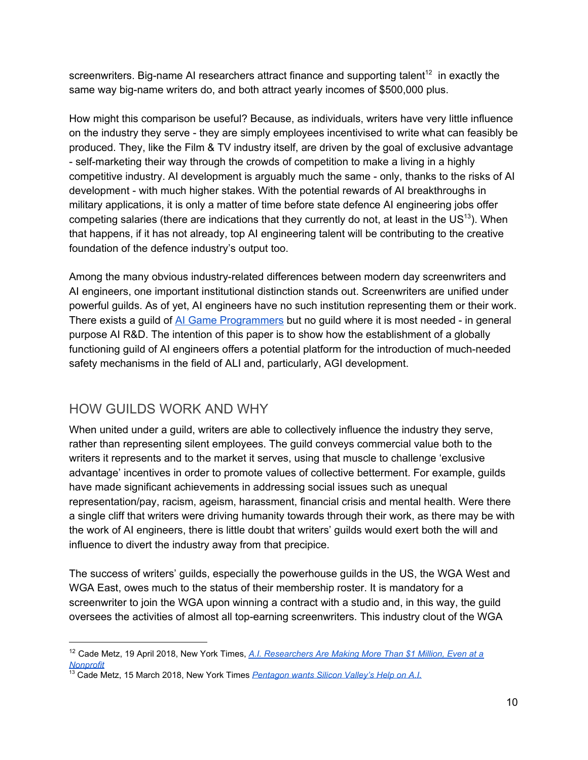screenwriters. Big-name AI researchers attract finance and supporting talent<sup>12</sup> in exactly the same way big-name writers do, and both attract yearly incomes of \$500,000 plus.

How might this comparison be useful? Because, as individuals, writers have very little influence on the industry they serve - they are simply employees incentivised to write what can feasibly be produced. They, like the Film & TV industry itself, are driven by the goal of exclusive advantage - self-marketing their way through the crowds of competition to make a living in a highly competitive industry. AI development is arguably much the same - only, thanks to the risks of AI development - with much higher stakes. With the potential rewards of AI breakthroughs in military applications, it is only a matter of time before state defence AI engineering jobs offer competing salaries (there are indications that they currently do not, at least in the US<sup>13</sup>). When that happens, if it has not already, top AI engineering talent will be contributing to the creative foundation of the defence industry's output too.

Among the many obvious industry-related differences between modern day screenwriters and AI engineers, one important institutional distinction stands out. Screenwriters are unified under powerful guilds. As of yet, AI engineers have no such institution representing them or their work. There exists a guild of AI Game [Programmers](http://www.gameai.com/) but no guild where it is most needed - in general purpose AI R&D. The intention of this paper is to show how the establishment of a globally functioning guild of AI engineers offers a potential platform for the introduction of much-needed safety mechanisms in the field of ALI and, particularly, AGI development.

### <span id="page-10-0"></span>HOW GUILDS WORK AND WHY

When united under a guild, writers are able to collectively influence the industry they serve, rather than representing silent employees. The guild conveys commercial value both to the writers it represents and to the market it serves, using that muscle to challenge 'exclusive advantage' incentives in order to promote values of collective betterment. For example, guilds have made significant achievements in addressing social issues such as unequal representation/pay, racism, ageism, harassment, financial crisis and mental health. Were there a single cliff that writers were driving humanity towards through their work, as there may be with the work of AI engineers, there is little doubt that writers' guilds would exert both the will and influence to divert the industry away from that precipice.

The success of writers' guilds, especially the powerhouse guilds in the US, the WGA West and WGA East, owes much to the status of their membership roster. It is mandatory for a screenwriter to join the WGA upon winning a contract with a studio and, in this way, the guild oversees the activities of almost all top-earning screenwriters. This industry clout of the WGA

<sup>12</sup> Cade Metz, 19 April 2018, New York Times, *[A.I. Researchers Are Making More Than \\$1 Million, Even at a](https://www.nytimes.com/2018/04/19/technology/artificial-intelligence-salaries-openai.html) [Nonprofit](https://www.nytimes.com/2018/04/19/technology/artificial-intelligence-salaries-openai.html)*

<sup>&</sup>lt;sup>13</sup> Cade Metz, 15 March 2018, New York Times *[Pentagon wants Silicon Valley's Help on A.I.](https://www.nytimes.com/2018/03/15/technology/military-artificial-intelligence.html)*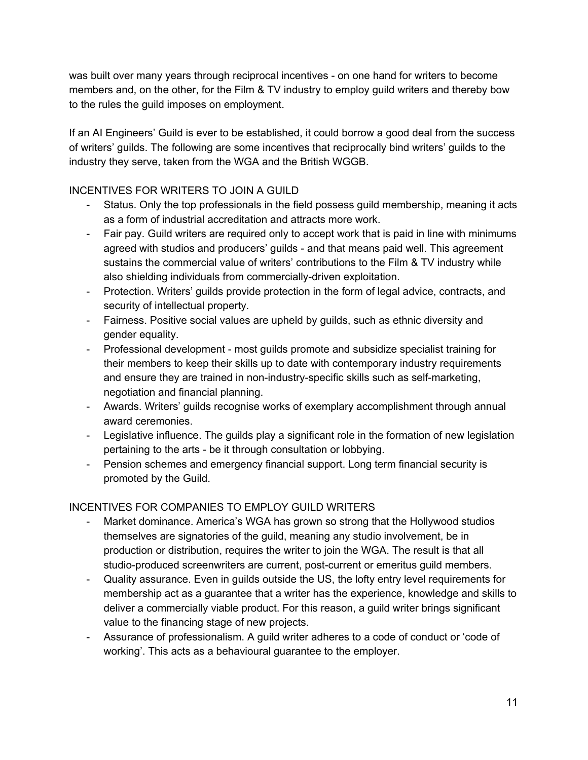was built over many years through reciprocal incentives - on one hand for writers to become members and, on the other, for the Film & TV industry to employ guild writers and thereby bow to the rules the guild imposes on employment.

If an AI Engineers' Guild is ever to be established, it could borrow a good deal from the success of writers' guilds. The following are some incentives that reciprocally bind writers' guilds to the industry they serve, taken from the WGA and the British WGGB.

#### INCENTIVES FOR WRITERS TO JOIN A GUILD

- Status. Only the top professionals in the field possess guild membership, meaning it acts as a form of industrial accreditation and attracts more work.
- Fair pay. Guild writers are required only to accept work that is paid in line with minimums agreed with studios and producers' guilds - and that means paid well. This agreement sustains the commercial value of writers' contributions to the Film & TV industry while also shielding individuals from commercially-driven exploitation.
- Protection. Writers' guilds provide protection in the form of legal advice, contracts, and security of intellectual property.
- Fairness. Positive social values are upheld by guilds, such as ethnic diversity and gender equality.
- Professional development most guilds promote and subsidize specialist training for their members to keep their skills up to date with contemporary industry requirements and ensure they are trained in non-industry-specific skills such as self-marketing, negotiation and financial planning.
- Awards. Writers' guilds recognise works of exemplary accomplishment through annual award ceremonies.
- Legislative influence. The guilds play a significant role in the formation of new legislation pertaining to the arts - be it through consultation or lobbying.
- Pension schemes and emergency financial support. Long term financial security is promoted by the Guild.

#### INCENTIVES FOR COMPANIES TO EMPLOY GUILD WRITERS

- Market dominance. America's WGA has grown so strong that the Hollywood studios themselves are signatories of the guild, meaning any studio involvement, be in production or distribution, requires the writer to join the WGA. The result is that all studio-produced screenwriters are current, post-current or emeritus guild members.
- Quality assurance. Even in guilds outside the US, the lofty entry level requirements for membership act as a guarantee that a writer has the experience, knowledge and skills to deliver a commercially viable product. For this reason, a guild writer brings significant value to the financing stage of new projects.
- Assurance of professionalism. A guild writer adheres to a code of conduct or 'code of working'. This acts as a behavioural guarantee to the employer.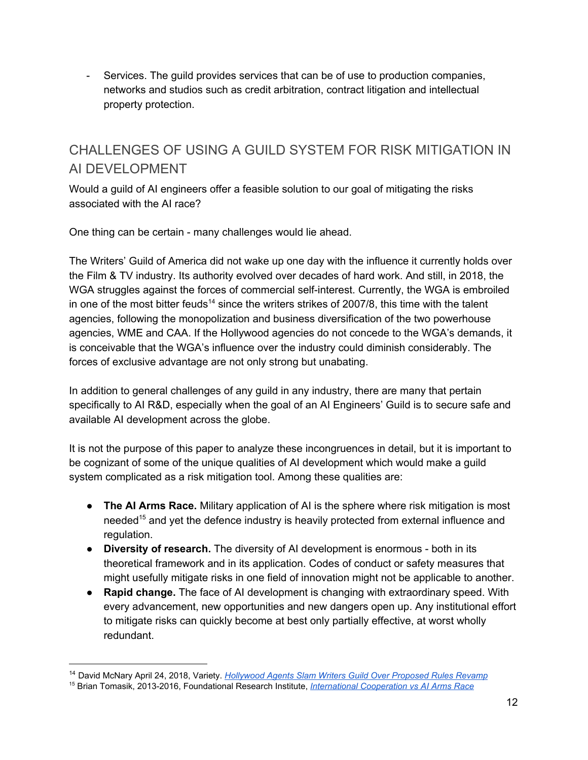- Services. The guild provides services that can be of use to production companies, networks and studios such as credit arbitration, contract litigation and intellectual property protection.

### <span id="page-12-0"></span>CHALLENGES OF USING A GUILD SYSTEM FOR RISK MITIGATION IN AI DEVELOPMENT

Would a guild of AI engineers offer a feasible solution to our goal of mitigating the risks associated with the AI race?

One thing can be certain - many challenges would lie ahead.

The Writers' Guild of America did not wake up one day with the influence it currently holds over the Film & TV industry. Its authority evolved over decades of hard work. And still, in 2018, the WGA struggles against the forces of commercial self-interest. Currently, the WGA is embroiled in one of the most bitter feuds<sup>14</sup> since the writers strikes of 2007/8, this time with the talent agencies, following the monopolization and business diversification of the two powerhouse agencies, WME and CAA. If the Hollywood agencies do not concede to the WGA's demands, it is conceivable that the WGA's influence over the industry could diminish considerably. The forces of exclusive advantage are not only strong but unabating.

In addition to general challenges of any guild in any industry, there are many that pertain specifically to AI R&D, especially when the goal of an AI Engineers' Guild is to secure safe and available AI development across the globe.

It is not the purpose of this paper to analyze these incongruences in detail, but it is important to be cognizant of some of the unique qualities of AI development which would make a guild system complicated as a risk mitigation tool. Among these qualities are:

- **The AI Arms Race.** Military application of AI is the sphere where risk mitigation is most needed<sup>15</sup> and yet the defence industry is heavily protected from external influence and regulation.
- **Diversity of research.** The diversity of AI development is enormous both in its theoretical framework and in its application. Codes of conduct or safety measures that might usefully mitigate risks in one field of innovation might not be applicable to another.
- **Rapid change.** The face of AI development is changing with extraordinary speed. With every advancement, new opportunities and new dangers open up. Any institutional effort to mitigate risks can quickly become at best only partially effective, at worst wholly redundant.

<sup>14</sup> David McNary April 24, 2018, Variety. *[Hollywood Agents Slam Writers Guild Over Proposed Rules Revamp](http://variety.com/2018/film/news/hollywood-agents-criticize-writers-guild-rules-revamp-1202784535/)*

<sup>15</sup> Brian Tomasik, 2013-2016, Foundational Research Institute, *[International Cooperation vs AI Arms Race](https://foundational-research.org/international-cooperation-vs-ai-arms-race/)*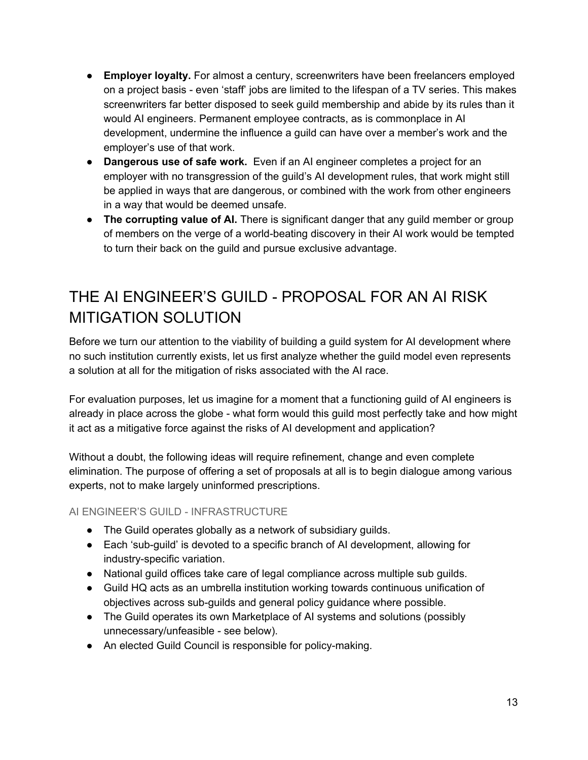- **Employer loyalty.** For almost a century, screenwriters have been freelancers employed on a project basis - even 'staff' jobs are limited to the lifespan of a TV series. This makes screenwriters far better disposed to seek guild membership and abide by its rules than it would AI engineers. Permanent employee contracts, as is commonplace in AI development, undermine the influence a guild can have over a member's work and the employer's use of that work.
- **Dangerous use of safe work.** Even if an AI engineer completes a project for an employer with no transgression of the guild's AI development rules, that work might still be applied in ways that are dangerous, or combined with the work from other engineers in a way that would be deemed unsafe.
- **The corrupting value of AI.** There is significant danger that any guild member or group of members on the verge of a world-beating discovery in their AI work would be tempted to turn their back on the guild and pursue exclusive advantage.

### <span id="page-13-0"></span>THE AI ENGINEER'S GUILD - PROPOSAL FOR AN AI RISK MITIGATION SOLUTION

Before we turn our attention to the viability of building a guild system for AI development where no such institution currently exists, let us first analyze whether the guild model even represents a solution at all for the mitigation of risks associated with the AI race.

For evaluation purposes, let us imagine for a moment that a functioning guild of AI engineers is already in place across the globe - what form would this guild most perfectly take and how might it act as a mitigative force against the risks of AI development and application?

Without a doubt, the following ideas will require refinement, change and even complete elimination. The purpose of offering a set of proposals at all is to begin dialogue among various experts, not to make largely uninformed prescriptions.

<span id="page-13-1"></span>AI ENGINEER'S GUILD - INFRASTRUCTURE

- The Guild operates globally as a network of subsidiary guilds.
- Each 'sub-quild' is devoted to a specific branch of AI development, allowing for industry-specific variation.
- National guild offices take care of legal compliance across multiple sub guilds.
- Guild HQ acts as an umbrella institution working towards continuous unification of objectives across sub-guilds and general policy guidance where possible.
- The Guild operates its own Marketplace of AI systems and solutions (possibly unnecessary/unfeasible - see below).
- An elected Guild Council is responsible for policy-making.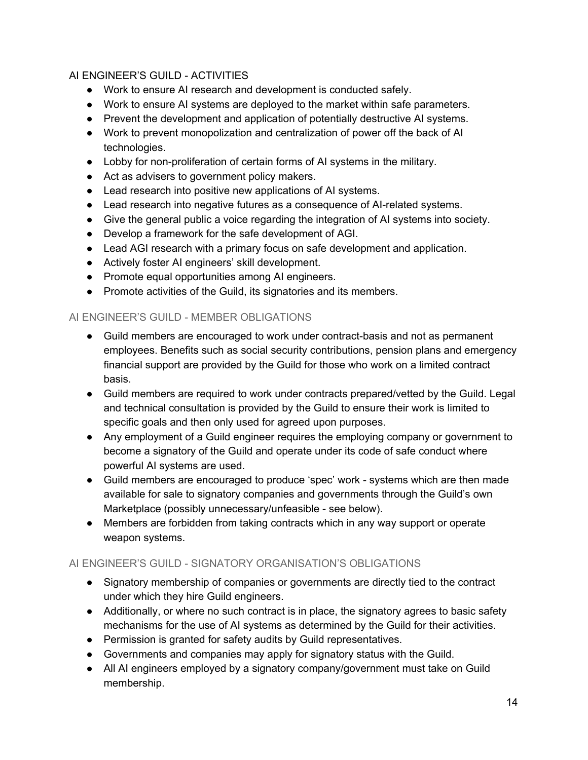#### AI ENGINEER'S GUILD - ACTIVITIES

- Work to ensure AI research and development is conducted safely.
- Work to ensure AI systems are deployed to the market within safe parameters.
- Prevent the development and application of potentially destructive AI systems.
- Work to prevent monopolization and centralization of power off the back of AI technologies.
- Lobby for non-proliferation of certain forms of AI systems in the military.
- Act as advisers to government policy makers.
- Lead research into positive new applications of AI systems.
- Lead research into negative futures as a consequence of AI-related systems.
- Give the general public a voice regarding the integration of AI systems into society.
- Develop a framework for the safe development of AGI.
- Lead AGI research with a primary focus on safe development and application.
- Actively foster AI engineers' skill development.
- Promote equal opportunities among AI engineers.
- Promote activities of the Guild, its signatories and its members.

#### <span id="page-14-0"></span>AI ENGINEER'S GUILD - MEMBER OBLIGATIONS

- Guild members are encouraged to work under contract-basis and not as permanent employees. Benefits such as social security contributions, pension plans and emergency financial support are provided by the Guild for those who work on a limited contract basis.
- Guild members are required to work under contracts prepared/vetted by the Guild. Legal and technical consultation is provided by the Guild to ensure their work is limited to specific goals and then only used for agreed upon purposes.
- Any employment of a Guild engineer requires the employing company or government to become a signatory of the Guild and operate under its code of safe conduct where powerful AI systems are used.
- Guild members are encouraged to produce 'spec' work systems which are then made available for sale to signatory companies and governments through the Guild's own Marketplace (possibly unnecessary/unfeasible - see below).
- Members are forbidden from taking contracts which in any way support or operate weapon systems.

#### <span id="page-14-1"></span>AI ENGINEER'S GUILD - SIGNATORY ORGANISATION'S OBLIGATIONS

- Signatory membership of companies or governments are directly tied to the contract under which they hire Guild engineers.
- Additionally, or where no such contract is in place, the signatory agrees to basic safety mechanisms for the use of AI systems as determined by the Guild for their activities.
- Permission is granted for safety audits by Guild representatives.
- Governments and companies may apply for signatory status with the Guild.
- All AI engineers employed by a signatory company/government must take on Guild membership.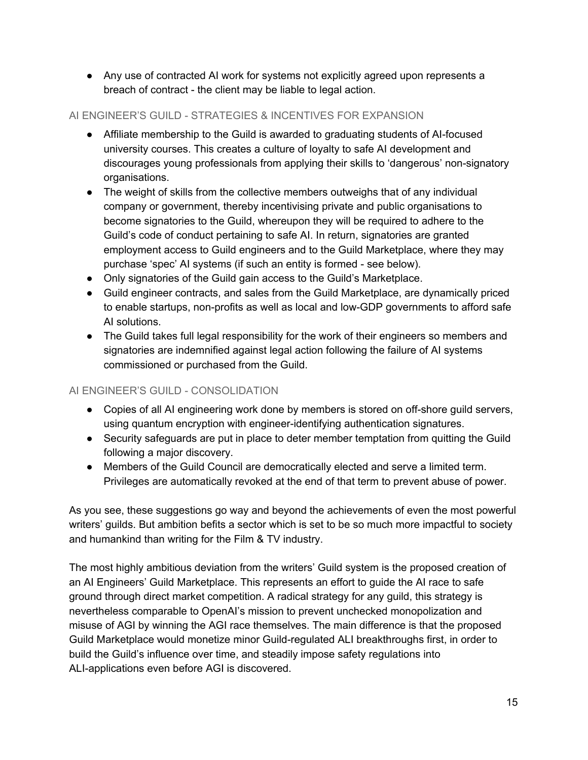● Any use of contracted AI work for systems not explicitly agreed upon represents a breach of contract - the client may be liable to legal action.

#### <span id="page-15-0"></span>AI ENGINEER'S GUILD - STRATEGIES & INCENTIVES FOR EXPANSION

- Affiliate membership to the Guild is awarded to graduating students of AI-focused university courses. This creates a culture of loyalty to safe AI development and discourages young professionals from applying their skills to 'dangerous' non-signatory organisations.
- The weight of skills from the collective members outweighs that of any individual company or government, thereby incentivising private and public organisations to become signatories to the Guild, whereupon they will be required to adhere to the Guild's code of conduct pertaining to safe AI. In return, signatories are granted employment access to Guild engineers and to the Guild Marketplace, where they may purchase 'spec' AI systems (if such an entity is formed - see below).
- Only signatories of the Guild gain access to the Guild's Marketplace.
- Guild engineer contracts, and sales from the Guild Marketplace, are dynamically priced to enable startups, non-profits as well as local and low-GDP governments to afford safe AI solutions.
- The Guild takes full legal responsibility for the work of their engineers so members and signatories are indemnified against legal action following the failure of AI systems commissioned or purchased from the Guild.

#### <span id="page-15-1"></span>AI ENGINEER'S GUILD - CONSOLIDATION

- Copies of all AI engineering work done by members is stored on off-shore guild servers, using quantum encryption with engineer-identifying authentication signatures.
- Security safeguards are put in place to deter member temptation from quitting the Guild following a major discovery.
- Members of the Guild Council are democratically elected and serve a limited term. Privileges are automatically revoked at the end of that term to prevent abuse of power.

As you see, these suggestions go way and beyond the achievements of even the most powerful writers' guilds. But ambition befits a sector which is set to be so much more impactful to society and humankind than writing for the Film & TV industry.

The most highly ambitious deviation from the writers' Guild system is the proposed creation of an AI Engineers' Guild Marketplace. This represents an effort to guide the AI race to safe ground through direct market competition. A radical strategy for any guild, this strategy is nevertheless comparable to OpenAI's mission to prevent unchecked monopolization and misuse of AGI by winning the AGI race themselves. The main difference is that the proposed Guild Marketplace would monetize minor Guild-regulated ALI breakthroughs first, in order to build the Guild's influence over time, and steadily impose safety regulations into ALI-applications even before AGI is discovered.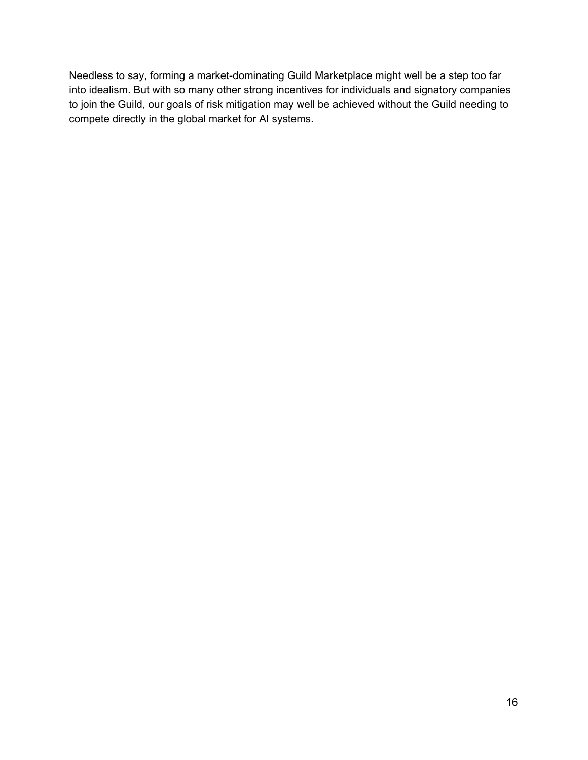Needless to say, forming a market-dominating Guild Marketplace might well be a step too far into idealism. But with so many other strong incentives for individuals and signatory companies to join the Guild, our goals of risk mitigation may well be achieved without the Guild needing to compete directly in the global market for AI systems.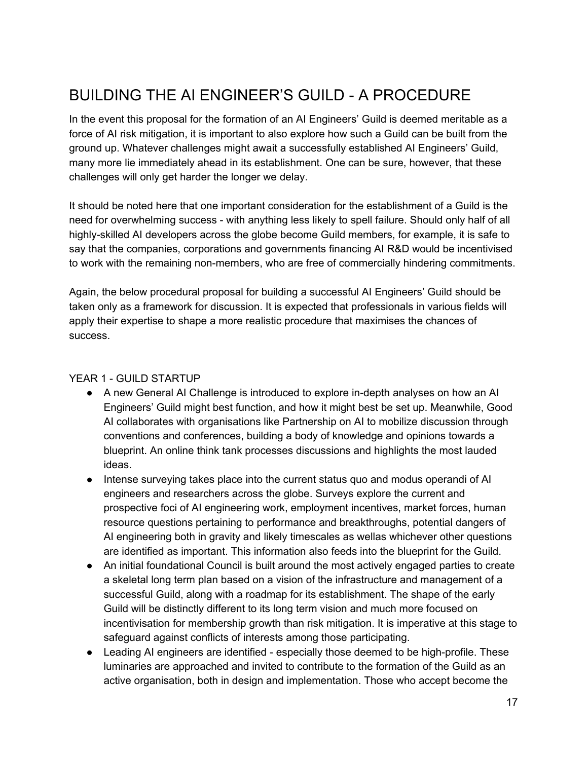### <span id="page-17-0"></span>BUILDING THE AI ENGINEER'S GUILD - A PROCEDURE

In the event this proposal for the formation of an AI Engineers' Guild is deemed meritable as a force of AI risk mitigation, it is important to also explore how such a Guild can be built from the ground up. Whatever challenges might await a successfully established AI Engineers' Guild, many more lie immediately ahead in its establishment. One can be sure, however, that these challenges will only get harder the longer we delay.

It should be noted here that one important consideration for the establishment of a Guild is the need for overwhelming success - with anything less likely to spell failure. Should only half of all highly-skilled AI developers across the globe become Guild members, for example, it is safe to say that the companies, corporations and governments financing AI R&D would be incentivised to work with the remaining non-members, who are free of commercially hindering commitments.

Again, the below procedural proposal for building a successful AI Engineers' Guild should be taken only as a framework for discussion. It is expected that professionals in various fields will apply their expertise to shape a more realistic procedure that maximises the chances of success.

#### YEAR 1 - GUILD STARTUP

- A new General AI Challenge is introduced to explore in-depth analyses on how an AI Engineers' Guild might best function, and how it might best be set up. Meanwhile, Good AI collaborates with organisations like Partnership on AI to mobilize discussion through conventions and conferences, building a body of knowledge and opinions towards a blueprint. An online think tank processes discussions and highlights the most lauded ideas.
- Intense surveying takes place into the current status quo and modus operandi of AI engineers and researchers across the globe. Surveys explore the current and prospective foci of AI engineering work, employment incentives, market forces, human resource questions pertaining to performance and breakthroughs, potential dangers of AI engineering both in gravity and likely timescales as wellas whichever other questions are identified as important. This information also feeds into the blueprint for the Guild.
- An initial foundational Council is built around the most actively engaged parties to create a skeletal long term plan based on a vision of the infrastructure and management of a successful Guild, along with a roadmap for its establishment. The shape of the early Guild will be distinctly different to its long term vision and much more focused on incentivisation for membership growth than risk mitigation. It is imperative at this stage to safeguard against conflicts of interests among those participating.
- Leading AI engineers are identified especially those deemed to be high-profile. These luminaries are approached and invited to contribute to the formation of the Guild as an active organisation, both in design and implementation. Those who accept become the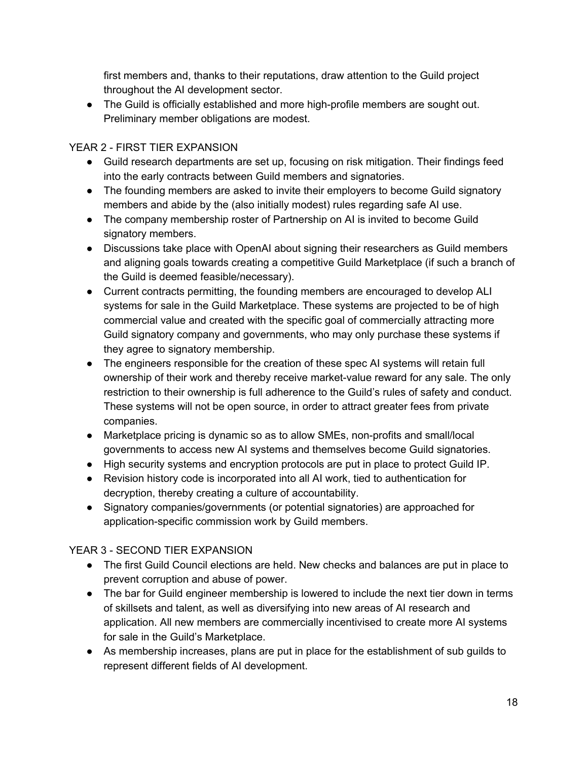first members and, thanks to their reputations, draw attention to the Guild project throughout the AI development sector.

● The Guild is officially established and more high-profile members are sought out. Preliminary member obligations are modest.

#### YEAR 2 - FIRST TIER EXPANSION

- Guild research departments are set up, focusing on risk mitigation. Their findings feed into the early contracts between Guild members and signatories.
- The founding members are asked to invite their employers to become Guild signatory members and abide by the (also initially modest) rules regarding safe AI use.
- The company membership roster of Partnership on AI is invited to become Guild signatory members.
- Discussions take place with OpenAI about signing their researchers as Guild members and aligning goals towards creating a competitive Guild Marketplace (if such a branch of the Guild is deemed feasible/necessary).
- Current contracts permitting, the founding members are encouraged to develop ALI systems for sale in the Guild Marketplace. These systems are projected to be of high commercial value and created with the specific goal of commercially attracting more Guild signatory company and governments, who may only purchase these systems if they agree to signatory membership.
- The engineers responsible for the creation of these spec AI systems will retain full ownership of their work and thereby receive market-value reward for any sale. The only restriction to their ownership is full adherence to the Guild's rules of safety and conduct. These systems will not be open source, in order to attract greater fees from private companies.
- Marketplace pricing is dynamic so as to allow SMEs, non-profits and small/local governments to access new AI systems and themselves become Guild signatories.
- High security systems and encryption protocols are put in place to protect Guild IP.
- Revision history code is incorporated into all AI work, tied to authentication for decryption, thereby creating a culture of accountability.
- Signatory companies/governments (or potential signatories) are approached for application-specific commission work by Guild members.

#### YEAR 3 - SECOND TIER EXPANSION

- The first Guild Council elections are held. New checks and balances are put in place to prevent corruption and abuse of power.
- The bar for Guild engineer membership is lowered to include the next tier down in terms of skillsets and talent, as well as diversifying into new areas of AI research and application. All new members are commercially incentivised to create more AI systems for sale in the Guild's Marketplace.
- As membership increases, plans are put in place for the establishment of sub guilds to represent different fields of AI development.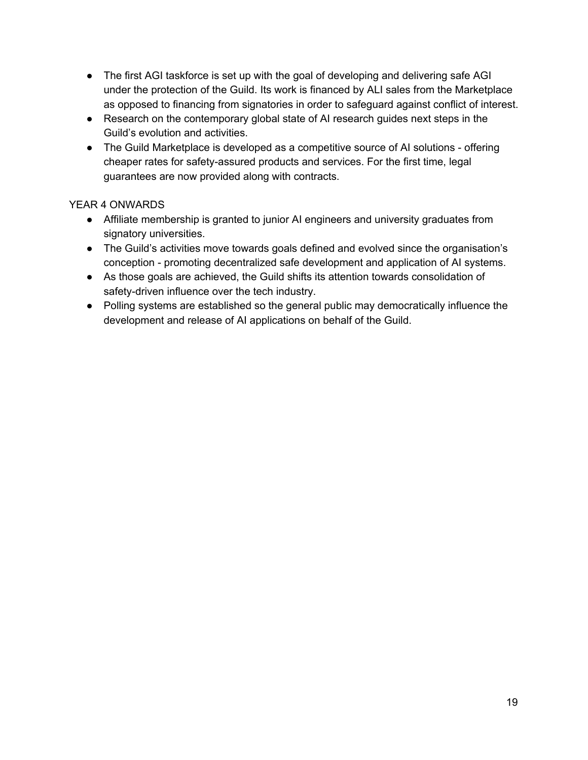- The first AGI taskforce is set up with the goal of developing and delivering safe AGI under the protection of the Guild. Its work is financed by ALI sales from the Marketplace as opposed to financing from signatories in order to safeguard against conflict of interest.
- Research on the contemporary global state of AI research guides next steps in the Guild's evolution and activities.
- The Guild Marketplace is developed as a competitive source of AI solutions offering cheaper rates for safety-assured products and services. For the first time, legal guarantees are now provided along with contracts.

#### YEAR 4 ONWARDS

- Affiliate membership is granted to junior AI engineers and university graduates from signatory universities.
- The Guild's activities move towards goals defined and evolved since the organisation's conception - promoting decentralized safe development and application of AI systems.
- As those goals are achieved, the Guild shifts its attention towards consolidation of safety-driven influence over the tech industry.
- Polling systems are established so the general public may democratically influence the development and release of AI applications on behalf of the Guild.